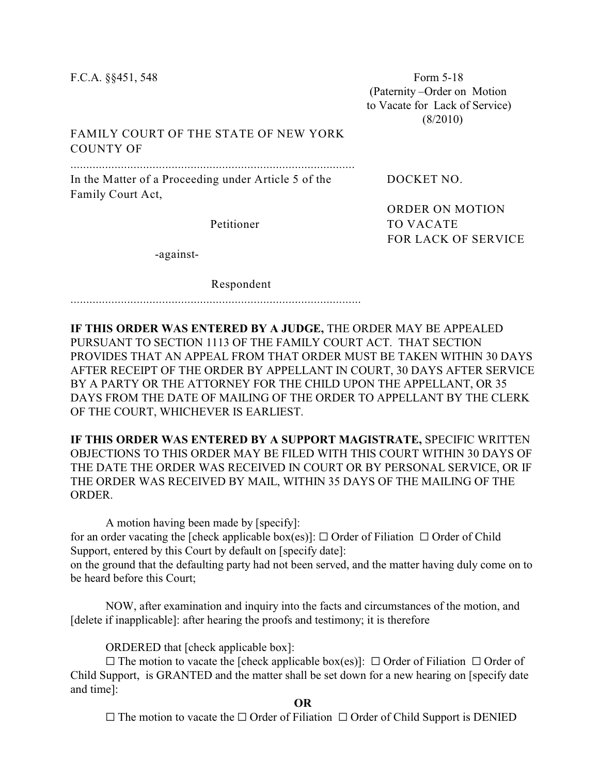F.C.A. §§451, 548 Form 5-18 (Paternity –Order on Motion to Vacate for Lack of Service) (8/2010)

## FAMILY COURT OF THE STATE OF NEW YORK COUNTY OF

.......................................................................................... In the Matter of a Proceeding under Article 5 of the DOCKET NO.

Family Court Act,

ORDER ON MOTION Petitioner TO VACATE FOR LACK OF SERVICE

-against-

Respondent

............................................................................................

**IF THIS ORDER WAS ENTERED BY A JUDGE,** THE ORDER MAY BE APPEALED PURSUANT TO SECTION 1113 OF THE FAMILY COURT ACT. THAT SECTION PROVIDES THAT AN APPEAL FROM THAT ORDER MUST BE TAKEN WITHIN 30 DAYS AFTER RECEIPT OF THE ORDER BY APPELLANT IN COURT, 30 DAYS AFTER SERVICE BY A PARTY OR THE ATTORNEY FOR THE CHILD UPON THE APPELLANT, OR 35 DAYS FROM THE DATE OF MAILING OF THE ORDER TO APPELLANT BY THE CLERK OF THE COURT, WHICHEVER IS EARLIEST.

**IF THIS ORDER WAS ENTERED BY A SUPPORT MAGISTRATE,** SPECIFIC WRITTEN OBJECTIONS TO THIS ORDER MAY BE FILED WITH THIS COURT WITHIN 30 DAYS OF THE DATE THE ORDER WAS RECEIVED IN COURT OR BY PERSONAL SERVICE, OR IF THE ORDER WAS RECEIVED BY MAIL, WITHIN 35 DAYS OF THE MAILING OF THE ORDER.

A motion having been made by [specify]: for an order vacating the [check applicable box(es)]:  $\Box$  Order of Filiation  $\Box$  Order of Child Support, entered by this Court by default on [specify date]: on the ground that the defaulting party had not been served, and the matter having duly come on to be heard before this Court;

NOW, after examination and inquiry into the facts and circumstances of the motion, and [delete if inapplicable]: after hearing the proofs and testimony; it is therefore

ORDERED that [check applicable box]:

 $\square$  The motion to vacate the [check applicable box(es)]:  $\square$  Order of Filiation  $\square$  Order of Child Support, is GRANTED and the matter shall be set down for a new hearing on [specify date and time]:

**OR**

 $\Box$  The motion to vacate the  $\Box$  Order of Filiation  $\Box$  Order of Child Support is DENIED